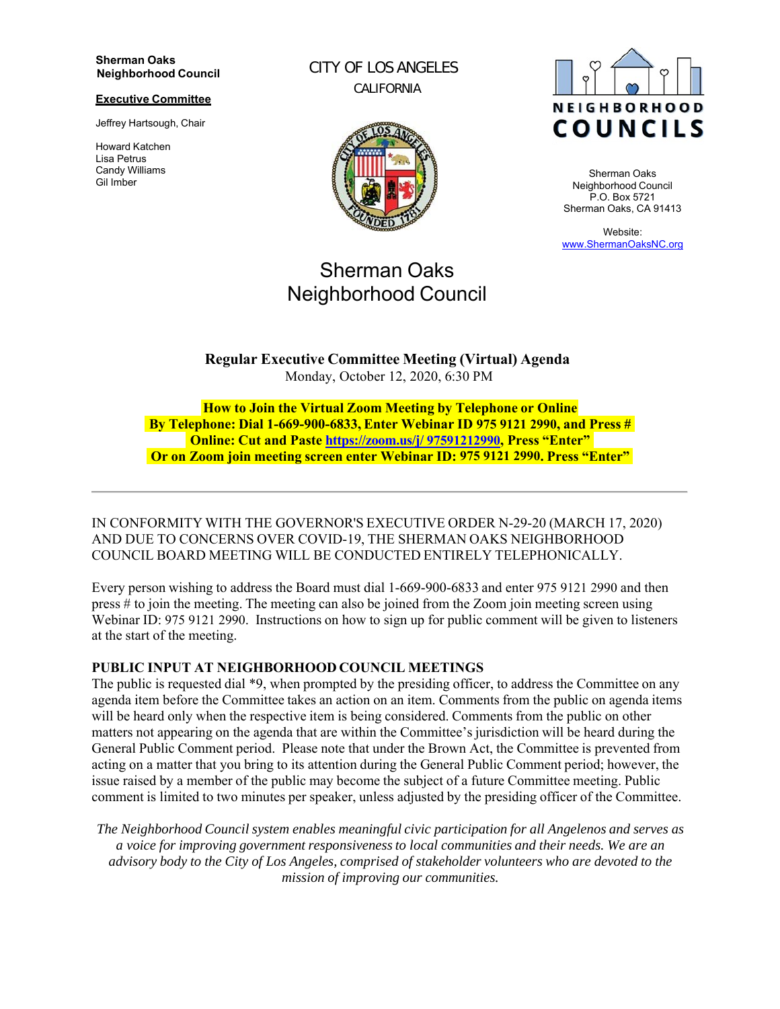#### **Sherman Oaks Neighborhood Council**

#### **Executive Committee**

Jeffrey Hartsough, Chair

Howard Katchen Lisa Petrus Candy Williams Gil Imber

CITY OF LOS ANGELES CALIFORNIA



# Sherman Oaks Neighborhood Council



Sherman Oaks Neighborhood Council P.O. Box 5721 Sherman Oaks, CA 91413

Website: www.ShermanOaksNC.org

**Regular Executive Committee Meeting (Virtual) Agenda** Monday, October 12, 2020, 6:30 PM

**How to Join the Virtual Zoom Meeting by Telephone or Online By Telephone: Dial 1-669-900-6833, Enter Webinar ID 975 9121 2990, and Press # Online: Cut and Paste https://zoom.us/j/ 97591212990, Press "Enter" Or on Zoom join meeting screen enter Webinar ID: 975 9121 2990. Press "Enter"**

IN CONFORMITY WITH THE GOVERNOR'S EXECUTIVE ORDER N-29-20 (MARCH 17, 2020) AND DUE TO CONCERNS OVER COVID-19, THE SHERMAN OAKS NEIGHBORHOOD COUNCIL BOARD MEETING WILL BE CONDUCTED ENTIRELY TELEPHONICALLY.

Every person wishing to address the Board must dial 1-669-900-6833 and enter 975 9121 2990 and then press # to join the meeting. The meeting can also be joined from the Zoom join meeting screen using Webinar ID: 975 9121 2990. Instructions on how to sign up for public comment will be given to listeners at the start of the meeting.

### **PUBLIC INPUT AT NEIGHBORHOOD COUNCIL MEETINGS**

The public is requested dial \*9, when prompted by the presiding officer, to address the Committee on any agenda item before the Committee takes an action on an item. Comments from the public on agenda items will be heard only when the respective item is being considered. Comments from the public on other matters not appearing on the agenda that are within the Committee's jurisdiction will be heard during the General Public Comment period. Please note that under the Brown Act, the Committee is prevented from acting on a matter that you bring to its attention during the General Public Comment period; however, the issue raised by a member of the public may become the subject of a future Committee meeting. Public comment is limited to two minutes per speaker, unless adjusted by the presiding officer of the Committee.

*The Neighborhood Council system enables meaningful civic participation for all Angelenos and serves as a voice for improving government responsiveness to local communities and their needs. We are an advisory body to the City of Los Angeles, comprised of stakeholder volunteers who are devoted to the mission of improving our communities.*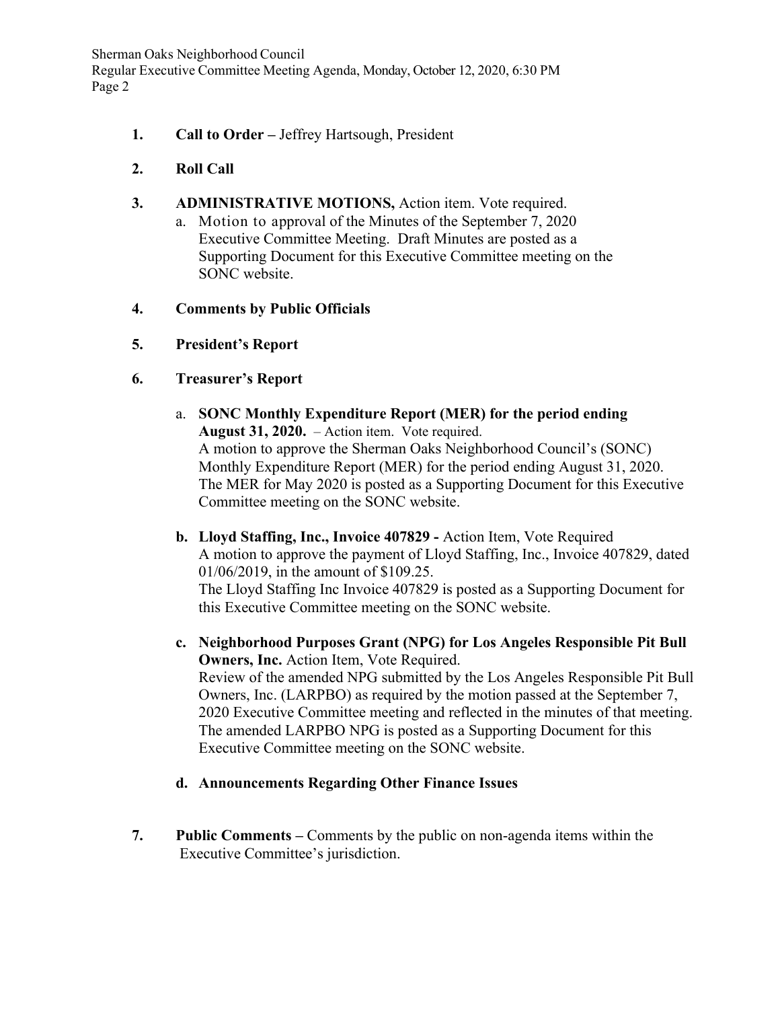Sherman Oaks Neighborhood Council Regular Executive Committee Meeting Agenda, Monday, October 12, 2020, 6:30 PM Page 2

- **1. Call to Order** Jeffrey Hartsough, President
- **2. Roll Call**
- **3. ADMINISTRATIVE MOTIONS,** Action item. Vote required.
	- a. Motion to approval of the Minutes of the September 7, 2020 Executive Committee Meeting. Draft Minutes are posted as a Supporting Document for this Executive Committee meeting on the SONC website.
- **4. Comments by Public Officials**
- **5. President's Report**
- **6. Treasurer's Report** 
	- a. **SONC Monthly Expenditure Report (MER) for the period ending August 31, 2020.** – Action item. Vote required. A motion to approve the Sherman Oaks Neighborhood Council's (SONC) Monthly Expenditure Report (MER) for the period ending August 31, 2020. The MER for May 2020 is posted as a Supporting Document for this Executive Committee meeting on the SONC website.
	- **b. Lloyd Staffing, Inc., Invoice 407829** Action Item, Vote Required A motion to approve the payment of Lloyd Staffing, Inc., Invoice 407829, dated 01/06/2019, in the amount of \$109.25. The Lloyd Staffing Inc Invoice 407829 is posted as a Supporting Document for

this Executive Committee meeting on the SONC website.

- **c. Neighborhood Purposes Grant (NPG) for Los Angeles Responsible Pit Bull Owners, Inc.** Action Item, Vote Required. Review of the amended NPG submitted by the Los Angeles Responsible Pit Bull Owners, Inc. (LARPBO) as required by the motion passed at the September 7, 2020 Executive Committee meeting and reflected in the minutes of that meeting. The amended LARPBO NPG is posted as a Supporting Document for this Executive Committee meeting on the SONC website.
- **d. Announcements Regarding Other Finance Issues**
- **7. Public Comments** Comments by the public on non-agenda items within the Executive Committee's jurisdiction.